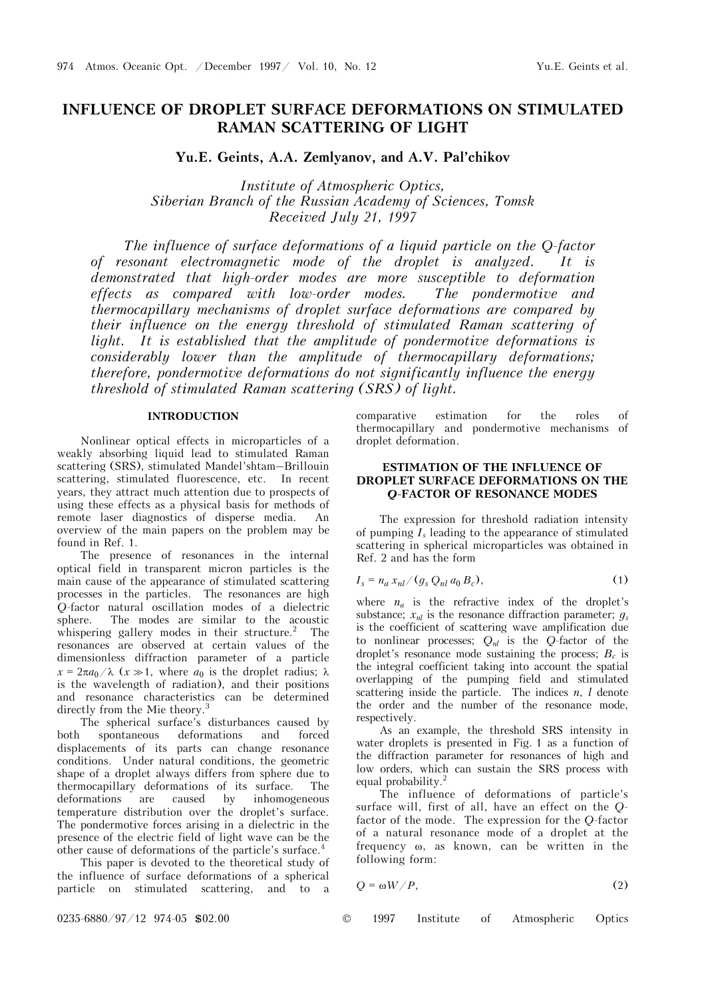# **INFLUENCE OF DROPLET SURFACE DEFORMATIONS ON STIMULATED RAMAN SCATTERING OF LIGHT**

**Yu.E. Geints, A.A. Zemlyanov, and A.V. Pal'chikov** 

*Institute of Atmospheric Optics, Siberian Branch of the Russian Academy of Sciences, Tomsk Received July 21, 1997* 

*The influence of surface deformations of a liquid particle on the Q-factor of resonant electromagnetic mode of the droplet is analyzed. It is demonstrated that high-order modes are more susceptible to deformation effects as compared with low-order modes. The pondermotive and thermocapillary mechanisms of droplet surface deformations are compared by their influence on the energy threshold of stimulated Raman scattering of*  light. It is established that the amplitude of pondermotive deformations is *considerably lower than the amplitude of thermocapillary deformations; therefore, pondermotive deformations do not significantly influence the energy threshold of stimulated Raman scattering (SRS) of light.* 

# **INTRODUCTION**

Nonlinear optical effects in microparticles of a weakly absorbing liquid lead to stimulated Raman scattering (SRS), stimulated Mandel'shtam–Brillouin scattering, stimulated fluorescence, etc. In recent years, they attract much attention due to prospects of using these effects as a physical basis for methods of remote laser diagnostics of disperse media. An overview of the main papers on the problem may be found in Ref. 1.

The presence of resonances in the internal optical field in transparent micron particles is the main cause of the appearance of stimulated scattering processes in the particles. The resonances are high *Q*-factor natural oscillation modes of a dielectric The modes are similar to the acoustic whispering gallery modes in their structure.<sup>2</sup> The resonances are observed at certain values of the dimensionless diffraction parameter of a particle  $x = 2\pi a_0/\lambda$  ( $x \gg 1$ , where  $a_0$  is the droplet radius;  $\lambda$ is the wavelength of radiation), and their positions and resonance characteristics can be determined directly from the Mie theory.<sup>3</sup>

The spherical surface's disturbances caused by both spontaneous deformations and forced displacements of its parts can change resonance conditions. Under natural conditions, the geometric shape of a droplet always differs from sphere due to thermocapillary deformations of its surface. The deformations are caused by inhomogeneous temperature distribution over the droplet's surface. The pondermotive forces arising in a dielectric in the presence of the electric field of light wave can be the other cause of deformations of the particle's surface.<sup>4</sup>

This paper is devoted to the theoretical study of the influence of surface deformations of a spherical particle on stimulated scattering, and to a comparative estimation for the roles of thermocapillary and pondermotive mechanisms of droplet deformation.

# **ESTIMATION OF THE INFLUENCE OF DROPLET SURFACE DEFORMATIONS ON THE**  *Q***-FACTOR OF RESONANCE MODES**

The expression for threshold radiation intensity of pumping *Is* leading to the appearance of stimulated scattering in spherical microparticles was obtained in Ref. 2 and has the form

$$
I_s = n_a x_{nl} / (g_s Q_{nl} a_0 B_c), \qquad (1)
$$

where  $n_a$  is the refractive index of the droplet's substance;  $x_{nl}$  is the resonance diffraction parameter;  $q_s$ is the coefficient of scattering wave amplification due to nonlinear processes;  $Q_{nl}$  is the *Q*-factor of the droplet's resonance mode sustaining the process;  $B_c$  is the integral coefficient taking into account the spatial overlapping of the pumping field and stimulated scattering inside the particle. The indices *n*, *l* denote the order and the number of the resonance mode, respectively.

As an example, the threshold SRS intensity in water droplets is presented in Fig. 1 as a function of the diffraction parameter for resonances of high and low orders, which can sustain the SRS process with equal probability.2

The influence of deformations of particle's surface will, first of all, have an effect on the *Q*factor of the mode. The expression for the *Q*-factor of a natural resonance mode of a droplet at the frequency ω, as known, can be written in the following form:

$$
Q = \omega W / P, \tag{2}
$$

0235-6880/97/12 974-05 \$02.00 © 1997 Institute of Atmospheric Optics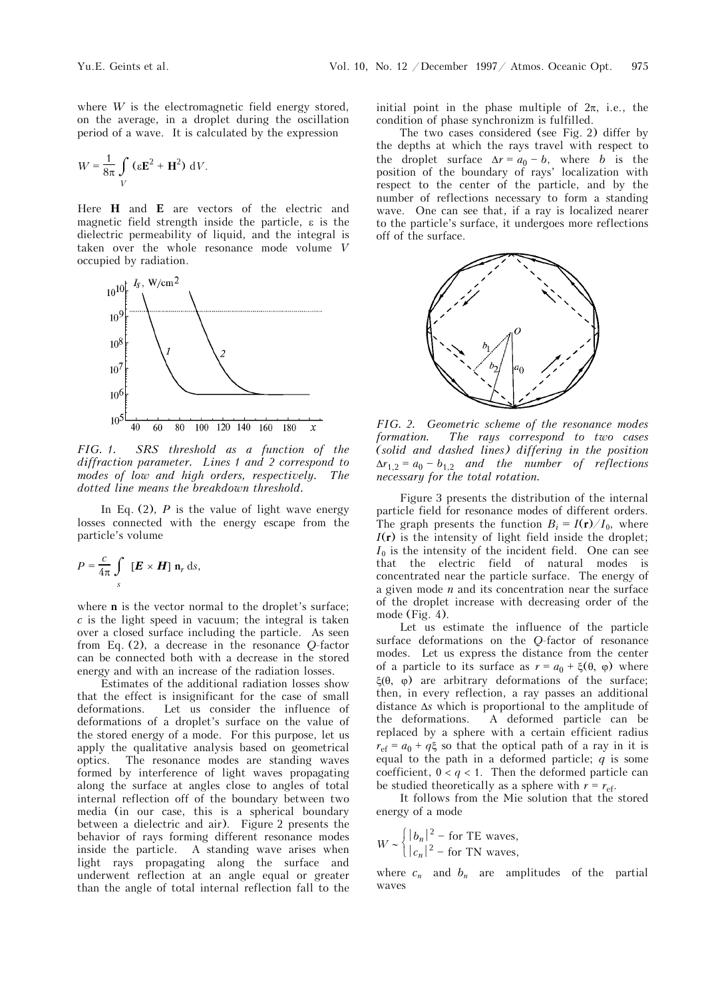where *W* is the electromagnetic field energy stored, on the average, in a droplet during the oscillation period of a wave. It is calculated by the expression

$$
W = \frac{1}{8\pi} \int\limits_V \left( \varepsilon \mathbf{E}^2 + \mathbf{H}^2 \right) \, \mathrm{d}V.
$$

Here **H** and **E** are vectors of the electric and magnetic field strength inside the particle, ε is the dielectric permeability of liquid, and the integral is taken over the whole resonance mode volume *V* occupied by radiation.



*FIG. 1. SRS threshold as a function of the diffraction parameter. Lines 1 and 2 correspond to modes of low and high orders, respectively. The dotted line means the breakdown threshold.* 

In Eq.  $(2)$ , *P* is the value of light wave energy losses connected with the energy escape from the particle's volume

$$
P = \frac{c}{4\pi} \int_{s} [\boldsymbol{E} \times \boldsymbol{H}] \, \mathbf{n}_r \, \mathrm{d}s,
$$

where **n** is the vector normal to the droplet's surface; *c* is the light speed in vacuum; the integral is taken over a closed surface including the particle. As seen from Eq. (2), a decrease in the resonance *Q*-factor can be connected both with a decrease in the stored energy and with an increase of the radiation losses.

Estimates of the additional radiation losses show that the effect is insignificant for the case of small deformations. Let us consider the influence of deformations of a droplet's surface on the value of the stored energy of a mode. For this purpose, let us apply the qualitative analysis based on geometrical optics. The resonance modes are standing waves formed by interference of light waves propagating along the surface at angles close to angles of total internal reflection off of the boundary between two media (in our case, this is a spherical boundary between a dielectric and air). Figure 2 presents the behavior of rays forming different resonance modes inside the particle. A standing wave arises when light rays propagating along the surface and underwent reflection at an angle equal or greater than the angle of total internal reflection fall to the initial point in the phase multiple of  $2\pi$ , i.e., the condition of phase synchronizm is fulfilled.

The two cases considered (see Fig. 2) differ by the depths at which the rays travel with respect to the droplet surface  $\Delta r = a_0 - b$ , where *b* is the position of the boundary of rays' localization with respect to the center of the particle, and by the number of reflections necessary to form a standing wave. One can see that, if a ray is localized nearer to the particle's surface, it undergoes more reflections off of the surface.



*FIG. 2. Geometric scheme of the resonance modes formation. The rays correspond to two cases (solid and dashed lines) differing in the position*   $\Delta r_{1,2} = a_0 - b_{1,2}$  *and the number of reflections necessary for the total rotation.* 

Figure 3 presents the distribution of the internal particle field for resonance modes of different orders. The graph presents the function  $B_i = I(r)/I_0$ , where  $I(r)$  is the intensity of light field inside the droplet;  $I_0$  is the intensity of the incident field. One can see that the electric field of natural modes is concentrated near the particle surface. The energy of a given mode *n* and its concentration near the surface of the droplet increase with decreasing order of the mode (Fig. 4).

Let us estimate the influence of the particle surface deformations on the *Q*-factor of resonance modes. Let us express the distance from the center of a particle to its surface as  $r = a_0 + \xi(\theta, \varphi)$  where ξ(θ, φ) are arbitrary deformations of the surface; then, in every reflection, a ray passes an additional distance Δ*s* which is proportional to the amplitude of the deformations. A deformed particle can be replaced by a sphere with a certain efficient radius  $r_{\text{ef}} = a_0 + q\xi$  so that the optical path of a ray in it is equal to the path in a deformed particle; *q* is some coefficient,  $0 < q < 1$ . Then the deformed particle can be studied theoretically as a sphere with  $r = r_{\text{eff}}$ .

It follows from the Mie solution that the stored energy of a mode

$$
W \sim \begin{cases} |b_n|^2 - \text{for TE waves,} \\ |c_n|^2 - \text{for TN waves,} \end{cases}
$$

where  $c_n$  and  $b_n$  are amplitudes of the partial waves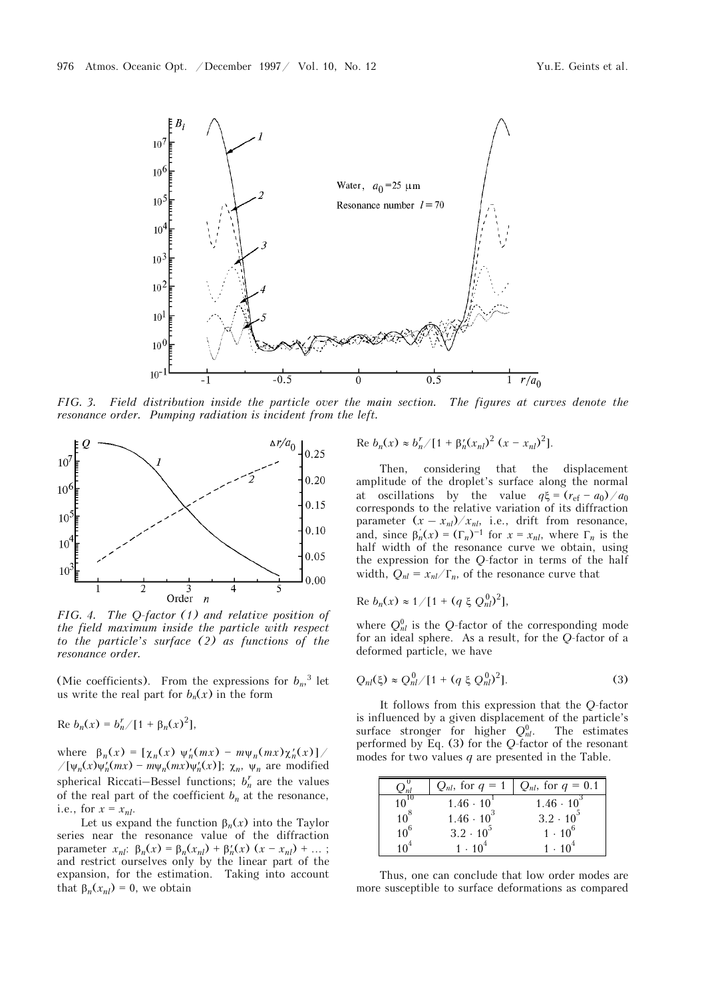

*FIG. 3. Field distribution inside the particle over the main section. The figures at curves denote the resonance order. Pumping radiation is incident from the left.* 



*FIG. 4. The Q-factor (1) and relative position of the field maximum inside the particle with respect to the particle's surface (2) as functions of the resonance order.* 

(Mie coefficients). From the expressions for  $b_n$ <sup>3</sup> let us write the real part for  $b_n(x)$  in the form

Re  $b_n(x) = b_n^r / [1 + \beta_n(x)^2],$ 

where  $\beta_n(x) = [\chi_n(x) \psi_n'(mx) - m\psi_n(mx)\chi_n'(x)]$  $\sqrt{\psi_n(x)}\psi'_n(mx) - m\psi_n(mx)\psi'_n(x)$ ;  $\chi_n$ ,  $\psi_n$  are modified spherical Riccati–Bessel functions;  $b_n^r$  are the values of the real part of the coefficient  $b_n$  at the resonance, i.e., for  $x = x_{nl}$ .

Let us expand the function  $\beta_n(x)$  into the Taylor series near the resonance value of the diffraction parameter  $x_{nl}$ : β<sub>*n*</sub>(*x*) = β<sub>*n*</sub>( $x_{nl}$ ) + β<sup>*l*</sup><sub>*l*</sub>(*x*) (*x* - *x<sub>nl</sub>*) + ... ; and restrict ourselves only by the linear part of the expansion, for the estimation. Taking into account that  $\beta_n(x_{nl}) = 0$ , we obtain

Re 
$$
b_n(x) \approx b_n^r / [1 + \beta_n^r (x_{nl})^2 (x - x_{nl})^2].
$$

Then, considering that the displacement amplitude of the droplet's surface along the normal at oscillations by the value  $q\xi = (r_{\text{ef}} - a_0)/a_0$ corresponds to the relative variation of its diffraction parameter  $(x - x_{nl})/x_{nl}$ , i.e., drift from resonance, and, since  $\beta'_n(x) = (\Gamma_n)^{-1}$  for  $x = x_{nl}$ , where  $\Gamma_n$  is the half width of the resonance curve we obtain, using the expression for the *Q*-factor in terms of the half width,  $Q_{nl} = x_{nl}/\Gamma_n$ , of the resonance curve that

Re 
$$
b_n(x) \approx 1/[1 + (q \xi Q_n^0)^2],
$$

where  $Q_{nl}^0$  is the *Q*-factor of the corresponding mode for an ideal sphere. As a result, for the *Q*-factor of a deformed particle, we have

$$
Q_{nl}(\xi) \approx Q_{nl}^0/[1 + (q \xi Q_{nl}^0)^2].
$$
 (3)

It follows from this expression that the *Q*-factor is influenced by a given displacement of the particle's surface stronger for higher  $Q_{nl}^0$ . The estimates performed by Eq. (3) for the *Q*-factor of the resonant modes for two values *q* are presented in the Table.

|           | $Q_{nl}$ , for $q = 1$ | $Q_{nl}$ , for $q=0.1$ |
|-----------|------------------------|------------------------|
| $10^{10}$ | $1.46 \cdot 10^{1}$    | $1.46 \cdot 10^{3}$    |
| $10^8$    | $1.46 \cdot 10^{3}$    | $3.2 \cdot 10^{5}$     |
| $10^6$    | $3.2 \cdot 10^{5}$     | $1 \cdot 10^6$         |
|           | $1 \cdot 10^{4}$       | $1 \cdot 10^{4}$       |

Thus, one can conclude that low order modes are more susceptible to surface deformations as compared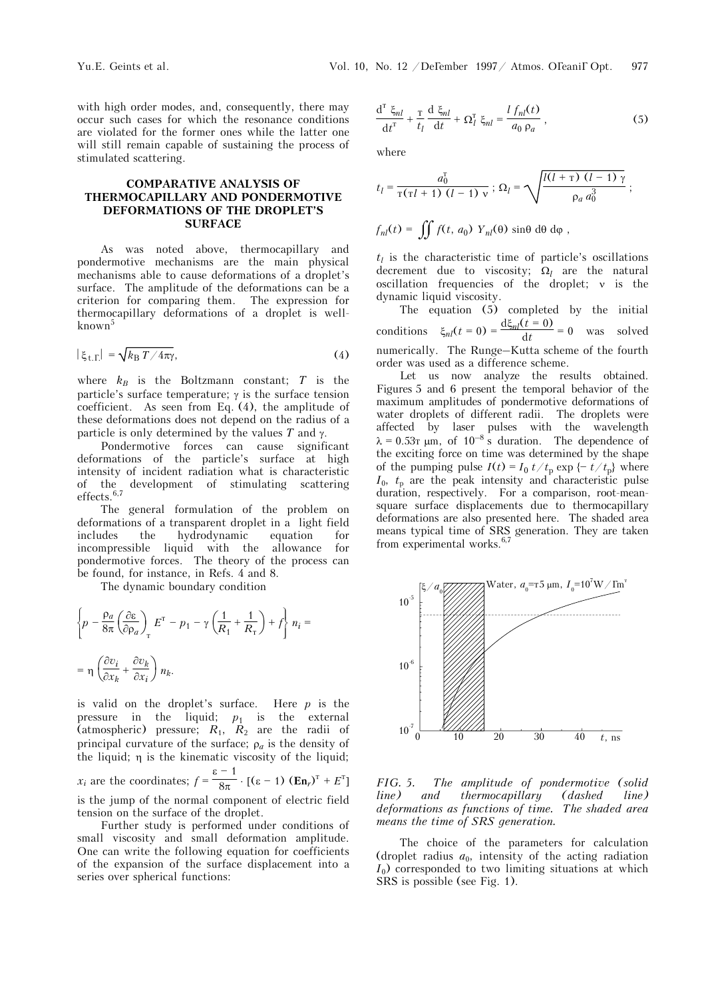with high order modes, and, consequently, there may occur such cases for which the resonance conditions are violated for the former ones while the latter one will still remain capable of sustaining the process of stimulated scattering.

# **COMPARATIVE ANALYSIS OF THERMOCAPILLARY AND PONDERMOTIVE DEFORMATIONS OF THE DROPLET'S SURFACE**

As was noted above, thermocapillary and pondermotive mechanisms are the main physical mechanisms able to cause deformations of a droplet's surface. The amplitude of the deformations can be a criterion for comparing them. The expression for thermocapillary deformations of a droplet is wellknown<sup>5</sup>

$$
|\xi_{\text{t}.\Gamma}| = \sqrt{k_{\text{B}} T / 4\pi \gamma},\tag{4}
$$

where  $k_B$  is the Boltzmann constant;  $T$  is the particle's surface temperature;  $\gamma$  is the surface tension coefficient. As seen from Eq. (4), the amplitude of these deformations does not depend on the radius of a particle is only determined by the values *T* and γ.

Pondermotive forces can cause significant deformations of the particle's surface at high intensity of incident radiation what is characteristic of the development of stimulating scattering effects. $6,7$ 

The general formulation of the problem on deformations of a transparent droplet in a light field includes the hydrodynamic equation for incompressible liquid with the allowance for pondermotive forces. The theory of the process can be found, for instance, in Refs. 4 and 8.

The dynamic boundary condition

$$
\left\{ p - \frac{\rho_a}{8\pi} \left( \frac{\partial \varepsilon}{\partial \rho_a} \right)_T E^T - p_1 - \gamma \left( \frac{1}{R_1} + \frac{1}{R_T} \right) + f \right\} n_i =
$$
  
= 
$$
\eta \left( \frac{\partial v_i}{\partial x_k} + \frac{\partial v_k}{\partial x_i} \right) n_k.
$$

is valid on the droplet's surface. Here *p* is the pressure in the liquid;  $p_1$  is the external (atmospheric) pressure;  $R_1$ ,  $R_2$  are the radii of principal curvature of the surface; ρ*<sup>a</sup>* is the density of the liquid; η is the kinematic viscosity of the liquid; *x<sub>i</sub>* are the coordinates;  $f = \frac{\varepsilon - 1}{8\pi} \cdot [(\varepsilon - 1) (\mathbf{En}_r)^T + E^T]$ is the jump of the normal component of electric field tension on the surface of the droplet.

Further study is performed under conditions of small viscosity and small deformation amplitude. One can write the following equation for coefficients of the expansion of the surface displacement into a series over spherical functions:

$$
\frac{\mathrm{d}^{\mathrm{T}}\ \xi_{nl}}{\mathrm{d}t^{\mathrm{T}}} + \frac{\mathrm{T}}{t_l}\frac{\mathrm{d}\ \xi_{nl}}{\mathrm{d}t} + \Omega_l^{\mathrm{T}}\ \xi_{nl} = \frac{l\ f_{nl}(t)}{a_0\ \rho_a}\,,\tag{5}
$$

where

$$
t_{l} = \frac{a_{0}^{T}}{\tau(\tau l + 1) (l - 1) v} ; \Omega_{l} = \sqrt{\frac{l(l + \tau) (l - 1) \gamma}{\rho_{a} a_{0}^{3}} } ;
$$

$$
f_{nl}(t) = \iint f(t, a_0) Y_{nl}(\theta) \sin\theta \, d\theta \, d\varphi,
$$

 $t_l$  is the characteristic time of particle's oscillations decrement due to viscosity;  $\Omega_l$  are the natural oscillation frequencies of the droplet; ν is the dynamic liquid viscosity.

The equation (5) completed by the initial conditions  $\xi_{nl}(t=0) = \frac{d\xi_{nl}(t=0)}{dt} = 0$  was solved numerically. The Runge–Kutta scheme of the fourth order was used as a difference scheme.

Let us now analyze the results obtained. Figures 5 and 6 present the temporal behavior of the maximum amplitudes of pondermotive deformations of water droplets of different radii. The droplets were affected by laser pulses with the wavelength  $\lambda = 0.53$  km, of  $10^{-8}$  s duration. The dependence of the exciting force on time was determined by the shape of the pumping pulse  $I(t) = I_0 t/t_p \exp\{-t/t_p\}$  where  $I_0$ ,  $t_p$  are the peak intensity and characteristic pulse duration, respectively. For a comparison, root-meansquare surface displacements due to thermocapillary deformations are also presented here. The shaded area means typical time of SRS generation. They are taken from experimental works.<sup>6,7</sup>



*FIG. 5. The amplitude of pondermotive (solid line) and thermocapillary (dashed line) deformations as functions of time. The shaded area means the time of SRS generation.* 

The choice of the parameters for calculation (droplet radius  $a_0$ , intensity of the acting radiation  $I_0$ ) corresponded to two limiting situations at which SRS is possible (see Fig. 1).